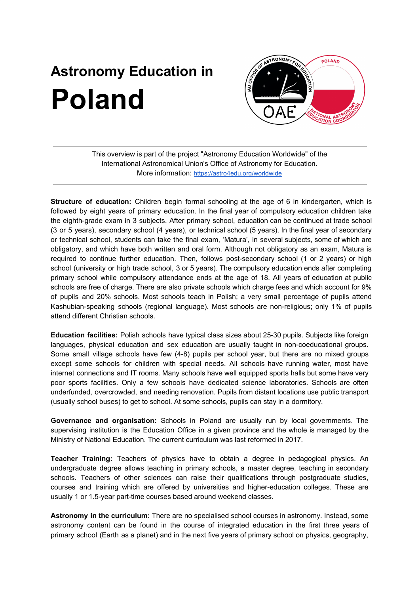## **Astronomy Education in Poland**



This overview is part of the project "Astronomy Education Worldwide" of the International Astronomical Union's Office of Astronomy for Education. More information: <https://astro4edu.org/worldwide>

**Structure of education:** Children begin formal schooling at the age of 6 in kindergarten, which is followed by eight years of primary education. In the final year of compulsory education children take the eighth-grade exam in 3 subjects. After primary school, education can be continued at trade school (3 or 5 years), secondary school (4 years), or technical school (5 years). In the final year of secondary or technical school, students can take the final exam, 'Matura', in several subjects, some of which are obligatory, and which have both written and oral form. Although not obligatory as an exam, Matura is required to continue further education. Then, follows post-secondary school (1 or 2 years) or high school (university or high trade school, 3 or 5 years). The compulsory education ends after completing primary school while compulsory attendance ends at the age of 18. All years of education at public schools are free of charge. There are also private schools which charge fees and which account for 9% of pupils and 20% schools. Most schools teach in Polish; a very small percentage of pupils attend Kashubian-speaking schools (regional language). Most schools are non-religious; only 1% of pupils attend different Christian schools.

**Education facilities:** Polish schools have typical class sizes about 25-30 pupils. Subjects like foreign languages, physical education and sex education are usually taught in non-coeducational groups. Some small village schools have few (4-8) pupils per school year, but there are no mixed groups except some schools for children with special needs. All schools have running water, most have internet connections and IT rooms. Many schools have well equipped sports halls but some have very poor sports facilities. Only a few schools have dedicated science laboratories. Schools are often underfunded, overcrowded, and needing renovation. Pupils from distant locations use public transport (usually school buses) to get to school. At some schools, pupils can stay in a dormitory.

**Governance and organisation:** Schools in Poland are usually run by local governments. The supervising institution is the Education Office in a given province and the whole is managed by the Ministry of National Education. The current curriculum was last reformed in 2017.

**Teacher Training:** Teachers of physics have to obtain a degree in pedagogical physics. An undergraduate degree allows teaching in primary schools, a master degree, teaching in secondary schools. Teachers of other sciences can raise their qualifications through postgraduate studies, courses and training which are offered by universities and higher-education colleges. These are usually 1 or 1.5-year part-time courses based around weekend classes.

**Astronomy in the curriculum:** There are no specialised school courses in astronomy. Instead, some astronomy content can be found in the course of integrated education in the first three years of primary school (Earth as a planet) and in the next five years of primary school on physics, geography,